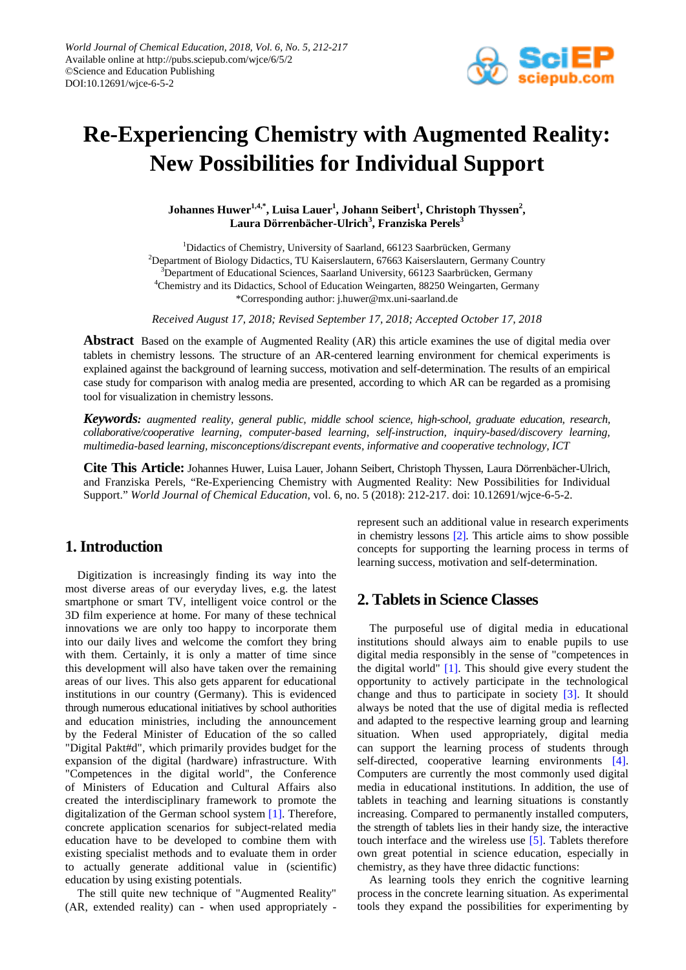

# **Re-Experiencing Chemistry with Augmented Reality: New Possibilities for Individual Support**

**Johannes Huwer1,4,\* , Luisa Lauer<sup>1</sup> , Johann Seibert<sup>1</sup> , Christoph Thyssen2 , Laura Dörrenbächer-Ulrich<sup>3</sup> , Franziska Perels3**

<sup>1</sup>Didactics of Chemistry, University of Saarland, 66123 Saarbrücken, Germany 2 Department of Biology Didactics, TU Kaiserslautern, 67663 Kaiserslautern, Germany Country <sup>3</sup>Department of Educational Sciences, Saarland University, 66123 Saarbrücken, Germany <sup>4</sup>Chemistry and its Didactics, School of Education Weingarten, 88250 Weingarten, Germany \*Corresponding author: j.huwer@mx.uni-saarland.de

*Received August 17, 2018; Revised September 17, 2018; Accepted October 17, 2018*

**Abstract** Based on the example of Augmented Reality (AR) this article examines the use of digital media over tablets in chemistry lessons. The structure of an AR-centered learning environment for chemical experiments is explained against the background of learning success, motivation and self-determination. The results of an empirical case study for comparison with analog media are presented, according to which AR can be regarded as a promising tool for visualization in chemistry lessons.

*Keywords: augmented reality, general public, middle school science, high-school, graduate education, research, collaborative/cooperative learning, computer-based learning, self-instruction, inquiry-based/discovery learning, multimedia-based learning, misconceptions/discrepant events, informative and cooperative technology, ICT*

**Cite This Article:** Johannes Huwer, Luisa Lauer, Johann Seibert, Christoph Thyssen, Laura Dörrenbächer-Ulrich, and Franziska Perels, "Re-Experiencing Chemistry with Augmented Reality: New Possibilities for Individual Support." *World Journal of Chemical Education*, vol. 6, no. 5 (2018): 212-217. doi: 10.12691/wjce-6-5-2.

## **1. Introduction**

Digitization is increasingly finding its way into the most diverse areas of our everyday lives, e.g. the latest smartphone or smart TV, intelligent voice control or the 3D film experience at home. For many of these technical innovations we are only too happy to incorporate them into our daily lives and welcome the comfort they bring with them. Certainly, it is only a matter of time since this development will also have taken over the remaining areas of our lives. This also gets apparent for educational institutions in our country (Germany). This is evidenced through numerous educational initiatives by school authorities and education ministries, including the announcement by the Federal Minister of Education of the so called "Digital Pakt#d", which primarily provides budget for the expansion of the digital (hardware) infrastructure. With "Competences in the digital world", the Conference of Ministers of Education and Cultural Affairs also created the interdisciplinary framework to promote the digitalization of the German school system [\[1\].](#page-4-0) Therefore, concrete application scenarios for subject-related media education have to be developed to combine them with existing specialist methods and to evaluate them in order to actually generate additional value in (scientific) education by using existing potentials.

The still quite new technique of "Augmented Reality" (AR, extended reality) can - when used appropriately - represent such an additional value in research experiments in chemistry lessons [\[2\].](#page-4-1) This article aims to show possible concepts for supporting the learning process in terms of learning success, motivation and self-determination.

## **2. Tablets in Science Classes**

The purposeful use of digital media in educational institutions should always aim to enable pupils to use digital media responsibly in the sense of "competences in the digital world" [\[1\].](#page-4-0) This should give every student the opportunity to actively participate in the technological change and thus to participate in society [\[3\].](#page-4-2) It should always be noted that the use of digital media is reflected and adapted to the respective learning group and learning situation. When used appropriately, digital media can support the learning process of students through self-directed, cooperative learning environments [\[4\].](#page-4-3) Computers are currently the most commonly used digital media in educational institutions. In addition, the use of tablets in teaching and learning situations is constantly increasing. Compared to permanently installed computers, the strength of tablets lies in their handy size, the interactive touch interface and the wireless use [\[5\].](#page-4-4) Tablets therefore own great potential in science education, especially in chemistry, as they have three didactic functions:

As learning tools they enrich the cognitive learning process in the concrete learning situation. As experimental tools they expand the possibilities for experimenting by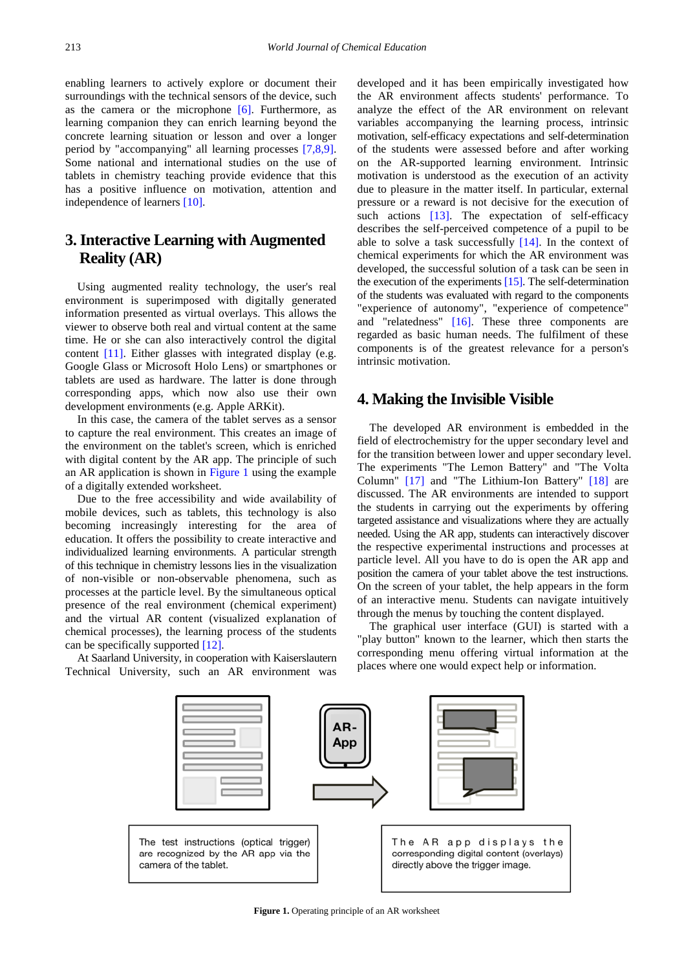enabling learners to actively explore or document their surroundings with the technical sensors of the device, such as the camera or the microphone  $[6]$ . Furthermore, as learning companion they can enrich learning beyond the concrete learning situation or lesson and over a longer period by "accompanying" all learning processes [\[7,8,9\].](#page-4-6) Some national and international studies on the use of tablets in chemistry teaching provide evidence that this has a positive influence on motivation, attention and independence of learners [\[10\].](#page-5-0)

## **3. Interactive Learning with Augmented Reality (AR)**

Using augmented reality technology, the user's real environment is superimposed with digitally generated information presented as virtual overlays. This allows the viewer to observe both real and virtual content at the same time. He or she can also interactively control the digital content [\[11\].](#page-5-1) Either glasses with integrated display (e.g. Google Glass or Microsoft Holo Lens) or smartphones or tablets are used as hardware. The latter is done through corresponding apps, which now also use their own development environments (e.g. Apple ARKit).

In this case, the camera of the tablet serves as a sensor to capture the real environment. This creates an image of the environment on the tablet's screen, which is enriched with digital content by the AR app. The principle of such an AR application is shown in [Figure 1](#page-1-0) using the example of a digitally extended worksheet.

Due to the free accessibility and wide availability of mobile devices, such as tablets, this technology is also becoming increasingly interesting for the area of education. It offers the possibility to create interactive and individualized learning environments. A particular strength of this technique in chemistry lessons lies in the visualization of non-visible or non-observable phenomena, such as processes at the particle level. By the simultaneous optical presence of the real environment (chemical experiment) and the virtual AR content (visualized explanation of chemical processes), the learning process of the students can be specifically supported [\[12\].](#page-5-2)

<span id="page-1-0"></span>At Saarland University, in cooperation with Kaiserslautern Technical University, such an AR environment was

developed and it has been empirically investigated how the AR environment affects students' performance. To analyze the effect of the AR environment on relevant variables accompanying the learning process, intrinsic motivation, self-efficacy expectations and self-determination of the students were assessed before and after working on the AR-supported learning environment. Intrinsic motivation is understood as the execution of an activity due to pleasure in the matter itself. In particular, external pressure or a reward is not decisive for the execution of such actions [\[13\].](#page-5-3) The expectation of self-efficacy describes the self-perceived competence of a pupil to be able to solve a task successfully  $[14]$ . In the context of chemical experiments for which the AR environment was developed, the successful solution of a task can be seen in the execution of the experiments  $[15]$ . The self-determination of the students was evaluated with regard to the components "experience of autonomy", "experience of competence" and "relatedness" [\[16\].](#page-5-6) These three components are regarded as basic human needs. The fulfilment of these components is of the greatest relevance for a person's intrinsic motivation.

#### **4. Making the Invisible Visible**

The developed AR environment is embedded in the field of electrochemistry for the upper secondary level and for the transition between lower and upper secondary level. The experiments "The Lemon Battery" and "The Volta Column" [\[17\]](#page-5-7) and "The Lithium-Ion Battery" [\[18\]](#page-5-8) are discussed. The AR environments are intended to support the students in carrying out the experiments by offering targeted assistance and visualizations where they are actually needed. Using the AR app, students can interactively discover the respective experimental instructions and processes at particle level. All you have to do is open the AR app and position the camera of your tablet above the test instructions. On the screen of your tablet, the help appears in the form of an interactive menu. Students can navigate intuitively through the menus by touching the content displayed.

The graphical user interface (GUI) is started with a "play button" known to the learner, which then starts the corresponding menu offering virtual information at the places where one would expect help or information.



**Figure 1.** Operating principle of an AR worksheet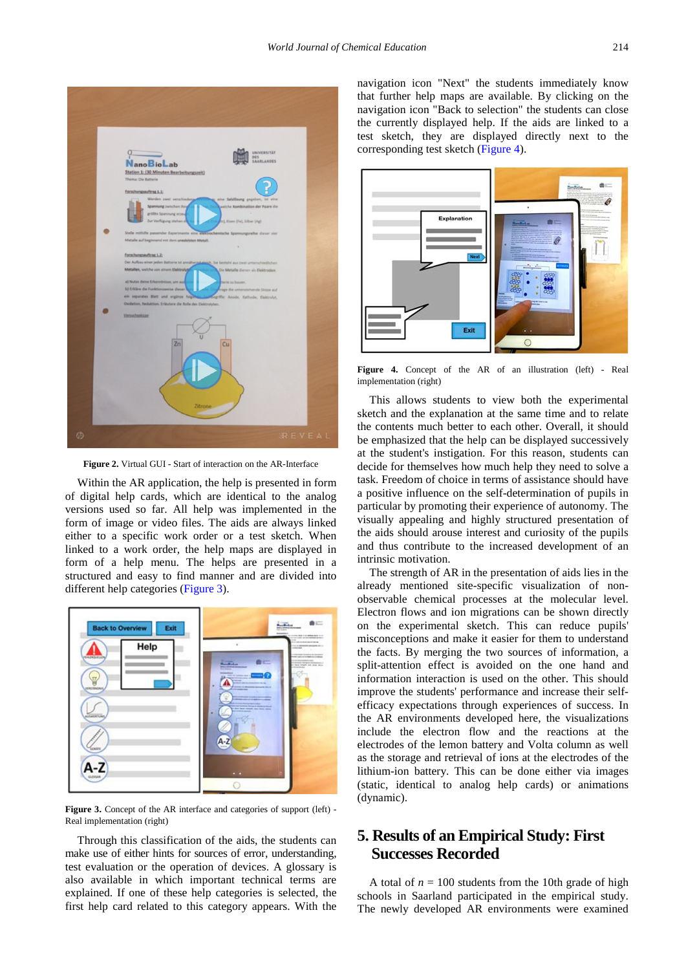

**Figure 2.** Virtual GUI - Start of interaction on the AR-Interface

Within the AR application, the help is presented in form of digital help cards, which are identical to the analog versions used so far. All help was implemented in the form of image or video files. The aids are always linked either to a specific work order or a test sketch. When linked to a work order, the help maps are displayed in form of a help menu. The helps are presented in a structured and easy to find manner and are divided into different help categories [\(Figure 3\)](#page-2-0).

<span id="page-2-0"></span>

Figure 3. Concept of the AR interface and categories of support (left) -Real implementation (right)

Through this classification of the aids, the students can make use of either hints for sources of error, understanding, test evaluation or the operation of devices. A glossary is also available in which important technical terms are explained. If one of these help categories is selected, the first help card related to this category appears. With the navigation icon "Next" the students immediately know that further help maps are available. By clicking on the navigation icon "Back to selection" the students can close the currently displayed help. If the aids are linked to a test sketch, they are displayed directly next to the corresponding test sketch [\(Figure 4\)](#page-2-1).

<span id="page-2-1"></span>

**Figure 4.** Concept of the AR of an illustration (left) - Real implementation (right)

This allows students to view both the experimental sketch and the explanation at the same time and to relate the contents much better to each other. Overall, it should be emphasized that the help can be displayed successively at the student's instigation. For this reason, students can decide for themselves how much help they need to solve a task. Freedom of choice in terms of assistance should have a positive influence on the self-determination of pupils in particular by promoting their experience of autonomy. The visually appealing and highly structured presentation of the aids should arouse interest and curiosity of the pupils and thus contribute to the increased development of an intrinsic motivation.

The strength of AR in the presentation of aids lies in the already mentioned site-specific visualization of nonobservable chemical processes at the molecular level. Electron flows and ion migrations can be shown directly on the experimental sketch. This can reduce pupils' misconceptions and make it easier for them to understand the facts. By merging the two sources of information, a split-attention effect is avoided on the one hand and information interaction is used on the other. This should improve the students' performance and increase their selfefficacy expectations through experiences of success. In the AR environments developed here, the visualizations include the electron flow and the reactions at the electrodes of the lemon battery and Volta column as well as the storage and retrieval of ions at the electrodes of the lithium-ion battery. This can be done either via images (static, identical to analog help cards) or animations (dynamic).

## **5. Results of an Empirical Study: First Successes Recorded**

A total of  $n = 100$  students from the 10th grade of high schools in Saarland participated in the empirical study. The newly developed AR environments were examined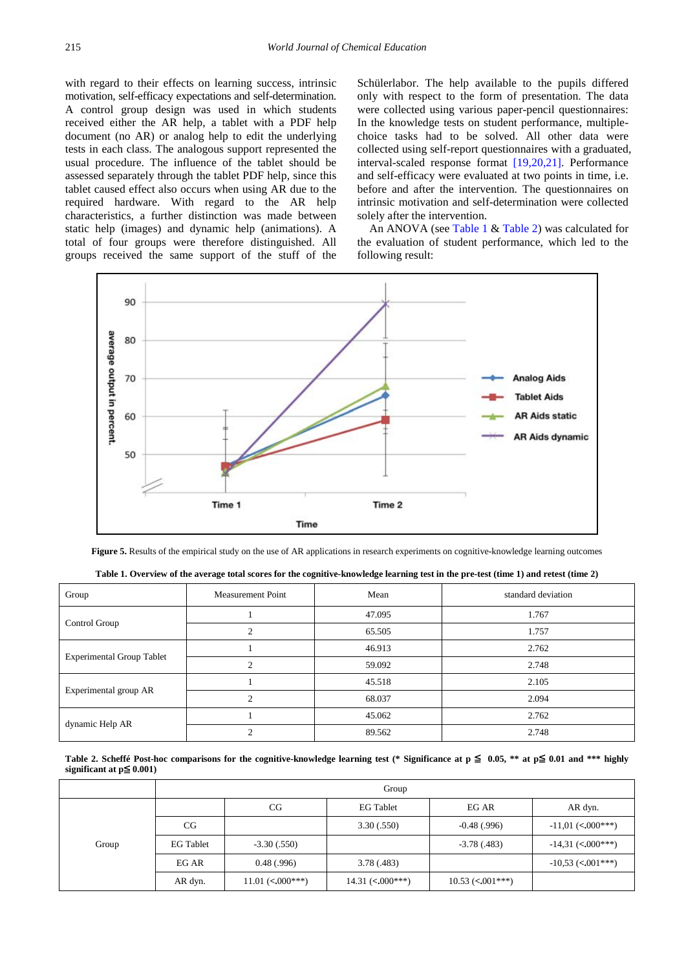with regard to their effects on learning success, intrinsic motivation, self-efficacy expectations and self-determination. A control group design was used in which students received either the AR help, a tablet with a PDF help document (no AR) or analog help to edit the underlying tests in each class. The analogous support represented the usual procedure. The influence of the tablet should be assessed separately through the tablet PDF help, since this tablet caused effect also occurs when using AR due to the required hardware. With regard to the AR help characteristics, a further distinction was made between static help (images) and dynamic help (animations). A total of four groups were therefore distinguished. All groups received the same support of the stuff of the Schülerlabor. The help available to the pupils differed only with respect to the form of presentation. The data were collected using various paper-pencil questionnaires: In the knowledge tests on student performance, multiplechoice tasks had to be solved. All other data were collected using self-report questionnaires with a graduated, interval-scaled response format [\[19,20,21\].](#page-5-9) Performance and self-efficacy were evaluated at two points in time, i.e. before and after the intervention. The questionnaires on intrinsic motivation and self-determination were collected solely after the intervention.

An ANOVA (see [Table 1](#page-3-0) & [Table 2\)](#page-3-1) was calculated for the evaluation of student performance, which led to the following result:

<span id="page-3-2"></span>

**Figure 5.** Results of the empirical study on the use of AR applications in research experiments on cognitive-knowledge learning outcomes

<span id="page-3-0"></span>

| Group                            | <b>Measurement Point</b>      | Mean   | standard deviation |  |
|----------------------------------|-------------------------------|--------|--------------------|--|
| Control Group                    |                               | 47.095 | 1.767              |  |
|                                  | $\mathfrak{D}_{\mathfrak{p}}$ | 65.505 | 1.757              |  |
| <b>Experimental Group Tablet</b> |                               | 46.913 | 2.762              |  |
|                                  | $\mathcal{D}$                 | 59.092 | 2.748              |  |
| Experimental group AR            |                               | 45.518 | 2.105              |  |
|                                  | $\mathcal{L}$                 | 68.037 | 2.094              |  |
| dynamic Help AR                  |                               | 45.062 | 2.762              |  |
|                                  | $\sim$                        | 89.562 | 2.748              |  |

**Table 1. Overview of the average total scores for the cognitive-knowledge learning test in the pre-test (time 1) and retest (time 2)**

Table 2. Scheffé Post-hoc comparisons for the cognitive-knowledge learning test (\* Significance at  $p ≤ 0.05$ , \*\* at  $p ≤ 0.01$  and \*\*\* highly **significant at p**≦ **0.001)**

<span id="page-3-1"></span>

|       | Group            |                                      |                                 |                    |                      |  |  |
|-------|------------------|--------------------------------------|---------------------------------|--------------------|----------------------|--|--|
| Group |                  | CG                                   | <b>EG Tablet</b>                | EG AR              | AR dyn.              |  |  |
|       | CG               |                                      | 3.30(.550)                      | $-0.48$ (.996)     | $-11,01$ (< 0.00***) |  |  |
|       | <b>EG Tablet</b> | $-3.30$ $(.550)$                     |                                 | $-3.78(0.483)$     | $-14,31$ (< 000***)  |  |  |
|       | EG AR            | 0.48(0.996)                          | 3.78(.483)                      |                    | $-10,53$ (< 001***)  |  |  |
|       | AR dyn.          | 11.01 $\left($ < 0.00 $\right)$ ***) | 14.31 $\left( < .000** \right)$ | $10.53$ (< 001***) |                      |  |  |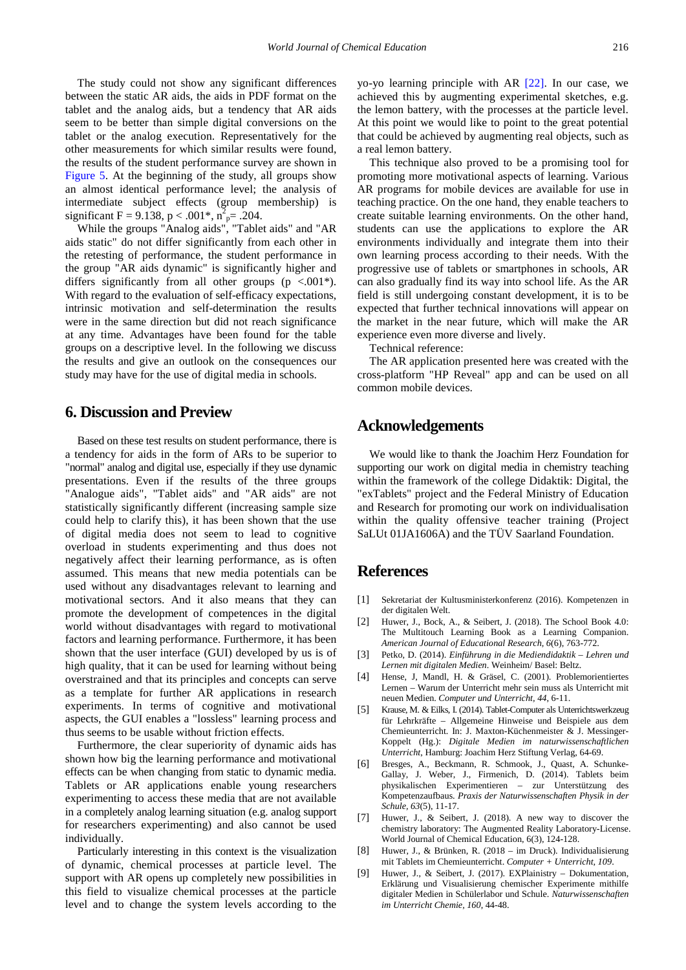The study could not show any significant differences between the static AR aids, the aids in PDF format on the tablet and the analog aids, but a tendency that AR aids seem to be better than simple digital conversions on the tablet or the analog execution. Representatively for the other measurements for which similar results were found, the results of the student performance survey are shown in [Figure 5.](#page-3-2) At the beginning of the study, all groups show an almost identical performance level; the analysis of intermediate subject effects (group membership) is significant F = 9.138, p < .001\*,  $n^2$ <sub>p</sub> = .204.

While the groups "Analog aids", "Tablet aids" and "AR aids static" do not differ significantly from each other in the retesting of performance, the student performance in the group "AR aids dynamic" is significantly higher and differs significantly from all other groups ( $p < .001$ <sup>\*</sup>). With regard to the evaluation of self-efficacy expectations, intrinsic motivation and self-determination the results were in the same direction but did not reach significance at any time. Advantages have been found for the table groups on a descriptive level. In the following we discuss the results and give an outlook on the consequences our study may have for the use of digital media in schools.

### **6. Discussion and Preview**

Based on these test results on student performance, there is a tendency for aids in the form of ARs to be superior to "normal" analog and digital use, especially if they use dynamic presentations. Even if the results of the three groups "Analogue aids", "Tablet aids" and "AR aids" are not statistically significantly different (increasing sample size could help to clarify this), it has been shown that the use of digital media does not seem to lead to cognitive overload in students experimenting and thus does not negatively affect their learning performance, as is often assumed. This means that new media potentials can be used without any disadvantages relevant to learning and motivational sectors. And it also means that they can promote the development of competences in the digital world without disadvantages with regard to motivational factors and learning performance. Furthermore, it has been shown that the user interface (GUI) developed by us is of high quality, that it can be used for learning without being overstrained and that its principles and concepts can serve as a template for further AR applications in research experiments. In terms of cognitive and motivational aspects, the GUI enables a "lossless" learning process and thus seems to be usable without friction effects.

Furthermore, the clear superiority of dynamic aids has shown how big the learning performance and motivational effects can be when changing from static to dynamic media. Tablets or AR applications enable young researchers experimenting to access these media that are not available in a completely analog learning situation (e.g. analog support for researchers experimenting) and also cannot be used individually.

Particularly interesting in this context is the visualization of dynamic, chemical processes at particle level. The support with AR opens up completely new possibilities in this field to visualize chemical processes at the particle level and to change the system levels according to the

yo-yo learning principle with AR [\[22\].](#page-5-10) In our case, we achieved this by augmenting experimental sketches, e.g. the lemon battery, with the processes at the particle level. At this point we would like to point to the great potential that could be achieved by augmenting real objects, such as a real lemon battery.

This technique also proved to be a promising tool for promoting more motivational aspects of learning. Various AR programs for mobile devices are available for use in teaching practice. On the one hand, they enable teachers to create suitable learning environments. On the other hand, students can use the applications to explore the AR environments individually and integrate them into their own learning process according to their needs. With the progressive use of tablets or smartphones in schools, AR can also gradually find its way into school life. As the AR field is still undergoing constant development, it is to be expected that further technical innovations will appear on the market in the near future, which will make the AR experience even more diverse and lively.

Technical reference:

The AR application presented here was created with the cross-platform "HP Reveal" app and can be used on all common mobile devices.

#### **Acknowledgements**

We would like to thank the Joachim Herz Foundation for supporting our work on digital media in chemistry teaching within the framework of the college Didaktik: Digital, the "exTablets" project and the Federal Ministry of Education and Research for promoting our work on individualisation within the quality offensive teacher training (Project SaLUt 01JA1606A) and the TÜV Saarland Foundation.

#### **References**

- <span id="page-4-0"></span>[1] Sekretariat der Kultusministerkonferenz (2016). Kompetenzen in der digitalen Welt.
- <span id="page-4-1"></span>[2] Huwer, J., Bock, A., & Seibert, J. (2018). The School Book 4.0: The Multitouch Learning Book as a Learning Companion. *American Journal of Educational Research, 6*(6), 763-772.
- <span id="page-4-2"></span>[3] Petko, D. (2014). *Einführung in die Mediendidaktik – Lehren und Lernen mit digitalen Medien*. Weinheim/ Basel: Beltz.
- <span id="page-4-3"></span>[4] Hense, J, Mandl, H. & Gräsel, C. (2001). Problemorientiertes Lernen – Warum der Unterricht mehr sein muss als Unterricht mit neuen Medien. *Computer und Unterricht, 44*, 6-11.
- <span id="page-4-4"></span>[5] Krause, M. & Eilks, I. (2014). Tablet-Computer als Unterrichtswerkzeug für Lehrkräfte – Allgemeine Hinweise und Beispiele aus dem Chemieunterricht. In: J. Maxton-Küchenmeister & J. Messinger-Koppelt (Hg.): *Digitale Medien im naturwissenschaftlichen Unterricht*, Hamburg: Joachim Herz Stiftung Verlag, 64-69.
- <span id="page-4-5"></span>[6] Bresges, A., Beckmann, R. Schmook, J., Quast, A. Schunke-Gallay, J. Weber, J., Firmenich, D. (2014). Tablets beim physikalischen Experimentieren – zur Unterstützung des Kompetenzaufbaus. *Praxis der Naturwissenschaften Physik in der Schule, 63*(5), 11-17.
- <span id="page-4-6"></span>[7] Huwer, J., & Seibert, J. (2018). A new way to discover the chemistry laboratory: The Augmented Reality Laboratory-License. World Journal of Chemical Education, 6(3), 124-128.
- [8] Huwer, J., & Brünken, R. (2018 im Druck). Individualisierung mit Tablets im Chemieunterricht. *Computer + Unterricht, 109*.
- [9] Huwer, J., & Seibert, J. (2017). EXPlainistry Dokumentation, Erklärung und Visualisierung chemischer Experimente mithilfe digitaler Medien in Schülerlabor und Schule. *Naturwissenschaften im Unterricht Chemie, 160*, 44-48.